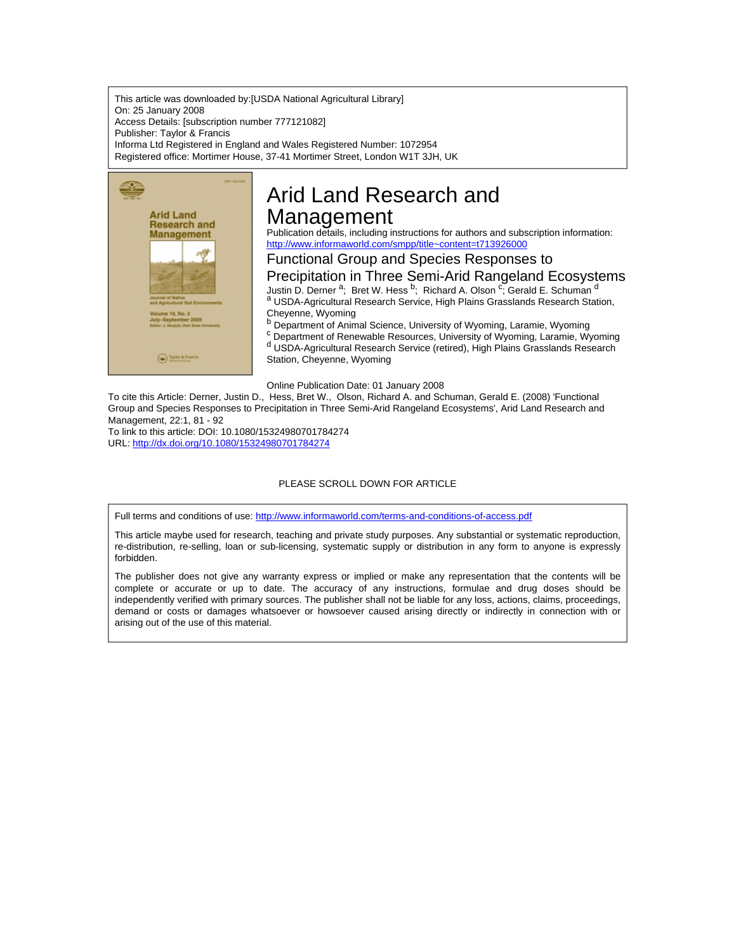This article was downloaded by:[USDA National Agricultural Library] On: 25 January 2008 Access Details: [subscription number 777121082] Publisher: Taylor & Francis Informa Ltd Registered in England and Wales Registered Number: 1072954 Registered office: Mortimer House, 37-41 Mortimer Street, London W1T 3JH, UK



# Arid Land Research and Management

Publication details, including instructions for authors and subscription information: <http://www.informaworld.com/smpp/title~content=t713926000>

## Functional Group and Species Responses to

Precipitation in Three Semi-Arid Rangeland Ecosystems Justin D. Derner <sup>a</sup>; Bret W. Hess <sup>b</sup>; Richard A. Olson <sup>c</sup>; Gerald E. Schuman <sup>d</sup>

a USDA-Agricultural Research Service, High Plains Grasslands Research Station, Cheyenne, Wyoming

**b** Department of Animal Science, University of Wyoming, Laramie, Wyoming <sup>c</sup> Department of Renewable Resources, University of Wyoming, Laramie, Wyoming d USDA-Agricultural Research Service (retired), High Plains Grasslands Research

Online Publication Date: 01 January 2008

Station, Cheyenne, Wyoming

To cite this Article: Derner, Justin D., Hess, Bret W., Olson, Richard A. and Schuman, Gerald E. (2008) 'Functional Group and Species Responses to Precipitation in Three Semi-Arid Rangeland Ecosystems', Arid Land Research and Management, 22:1, 81 - 92

To link to this article: DOI: 10.1080/15324980701784274 URL: <http://dx.doi.org/10.1080/15324980701784274>

### PLEASE SCROLL DOWN FOR ARTICLE

Full terms and conditions of use: <http://www.informaworld.com/terms-and-conditions-of-access.pdf>

This article maybe used for research, teaching and private study purposes. Any substantial or systematic reproduction, re-distribution, re-selling, loan or sub-licensing, systematic supply or distribution in any form to anyone is expressly forbidden.

The publisher does not give any warranty express or implied or make any representation that the contents will be complete or accurate or up to date. The accuracy of any instructions, formulae and drug doses should be independently verified with primary sources. The publisher shall not be liable for any loss, actions, claims, proceedings, demand or costs or damages whatsoever or howsoever caused arising directly or indirectly in connection with or arising out of the use of this material.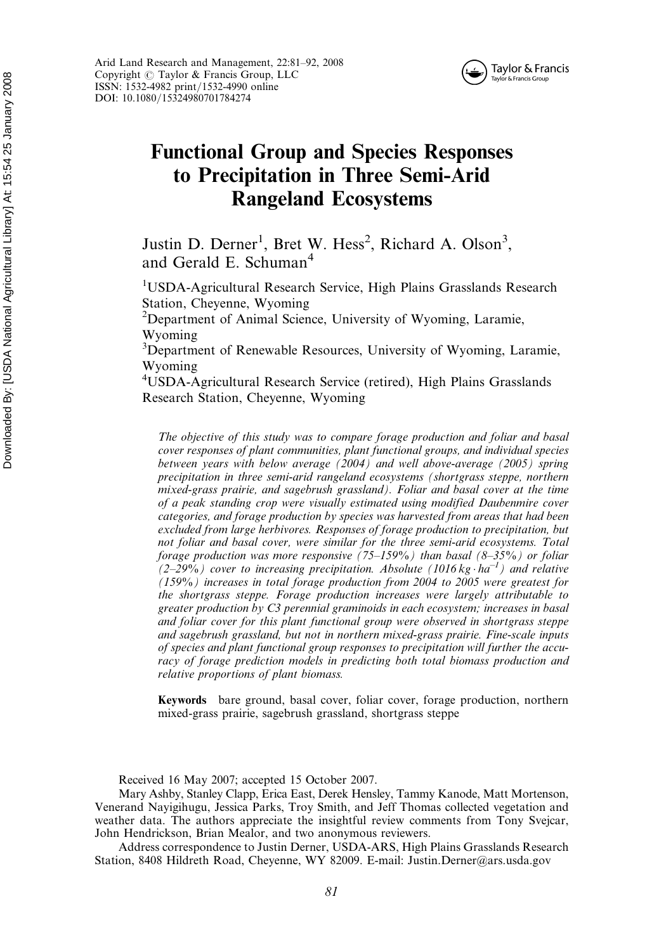

Arid Land Research and Management, 22:81–92, 2008 Copyright  $\odot$  Taylor & Francis Group, LLC ISSN: 1532-4982 print/1532-4990 online DOI: 10.1080/15324980701784274

## Functional Group and Species Responses to Precipitation in Three Semi-Arid Rangeland Ecosystems

Justin D. Derner<sup>1</sup>, Bret W. Hess<sup>2</sup>, Richard A. Olson<sup>3</sup>, and Gerald E. Schuman<sup>4</sup>

<sup>1</sup>USDA-Agricultural Research Service, High Plains Grasslands Research Station, Cheyenne, Wyoming

<sup>2</sup>Department of Animal Science, University of Wyoming, Laramie, Wyoming

<sup>3</sup>Department of Renewable Resources, University of Wyoming, Laramie, Wyoming

4 USDA-Agricultural Research Service (retired), High Plains Grasslands Research Station, Cheyenne, Wyoming

The objective of this study was to compare forage production and foliar and basal cover responses of plant communities, plant functional groups, and individual species between years with below average (2004) and well above-average (2005) spring precipitation in three semi-arid rangeland ecosystems (shortgrass steppe, northern mixed-grass prairie, and sagebrush grassland). Foliar and basal cover at the time of a peak standing crop were visually estimated using modified Daubenmire cover categories, and forage production by species was harvested from areas that had been excluded from large herbivores. Responses of forage production to precipitation, but not foliar and basal cover, were similar for the three semi-arid ecosystems. Total forage production was more responsive  $(75-159\%)$  than basal  $(8-35\%)$  or foliar  $(2-29\%)$  cover to increasing precipitation. Absolute (1016 kg  $\cdot$  ha<sup>-1</sup>) and relative (159%) increases in total forage production from 2004 to 2005 were greatest for the shortgrass steppe. Forage production increases were largely attributable to greater production by C3 perennial graminoids in each ecosystem; increases in basal and foliar cover for this plant functional group were observed in shortgrass steppe and sagebrush grassland, but not in northern mixed-grass prairie. Fine-scale inputs of species and plant functional group responses to precipitation will further the accuracy of forage prediction models in predicting both total biomass production and relative proportions of plant biomass.

Keywords bare ground, basal cover, foliar cover, forage production, northern mixed-grass prairie, sagebrush grassland, shortgrass steppe

Received 16 May 2007; accepted 15 October 2007.

Mary Ashby, Stanley Clapp, Erica East, Derek Hensley, Tammy Kanode, Matt Mortenson, Venerand Nayigihugu, Jessica Parks, Troy Smith, and Jeff Thomas collected vegetation and weather data. The authors appreciate the insightful review comments from Tony Svejcar, John Hendrickson, Brian Mealor, and two anonymous reviewers.

Address correspondence to Justin Derner, USDA-ARS, High Plains Grasslands Research Station, 8408 Hildreth Road, Cheyenne, WY 82009. E-mail: Justin.Derner@ars.usda.gov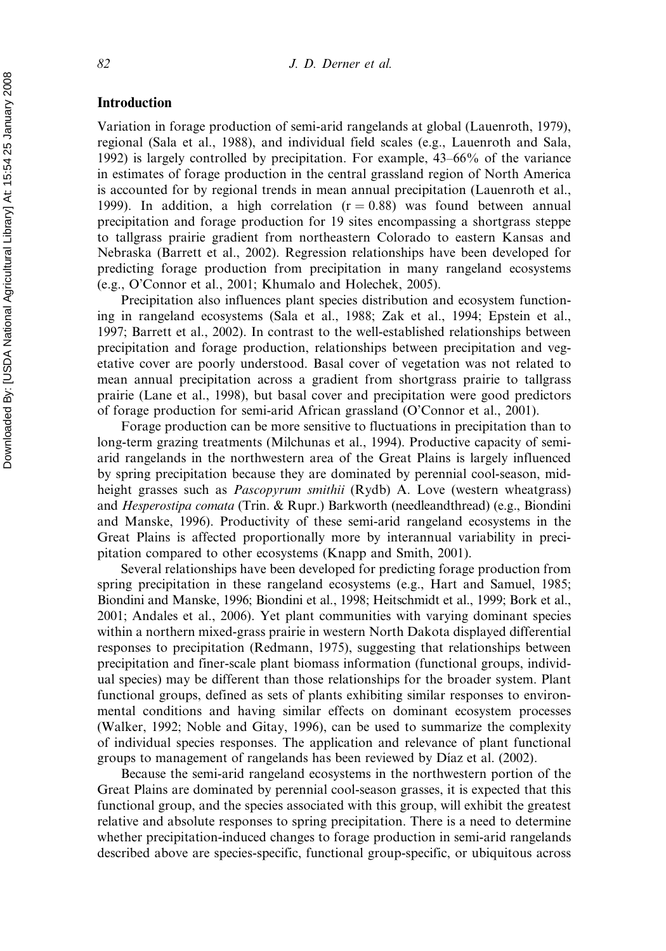#### Introduction

Variation in forage production of semi-arid rangelands at global (Lauenroth, 1979), regional (Sala et al., 1988), and individual field scales (e.g., Lauenroth and Sala, 1992) is largely controlled by precipitation. For example, 43–66% of the variance in estimates of forage production in the central grassland region of North America is accounted for by regional trends in mean annual precipitation (Lauenroth et al., 1999). In addition, a high correlation  $(r = 0.88)$  was found between annual precipitation and forage production for 19 sites encompassing a shortgrass steppe to tallgrass prairie gradient from northeastern Colorado to eastern Kansas and Nebraska (Barrett et al., 2002). Regression relationships have been developed for predicting forage production from precipitation in many rangeland ecosystems (e.g., O'Connor et al., 2001; Khumalo and Holechek, 2005).

Precipitation also influences plant species distribution and ecosystem functioning in rangeland ecosystems (Sala et al., 1988; Zak et al., 1994; Epstein et al., 1997; Barrett et al., 2002). In contrast to the well-established relationships between precipitation and forage production, relationships between precipitation and vegetative cover are poorly understood. Basal cover of vegetation was not related to mean annual precipitation across a gradient from shortgrass prairie to tallgrass prairie (Lane et al., 1998), but basal cover and precipitation were good predictors of forage production for semi-arid African grassland (O'Connor et al., 2001).

Forage production can be more sensitive to fluctuations in precipitation than to long-term grazing treatments (Milchunas et al., 1994). Productive capacity of semiarid rangelands in the northwestern area of the Great Plains is largely influenced by spring precipitation because they are dominated by perennial cool-season, midheight grasses such as *Pascopyrum smithii* (Rydb) A. Love (western wheatgrass) and Hesperostipa comata (Trin. & Rupr.) Barkworth (needleandthread) (e.g., Biondini and Manske, 1996). Productivity of these semi-arid rangeland ecosystems in the Great Plains is affected proportionally more by interannual variability in precipitation compared to other ecosystems (Knapp and Smith, 2001).

Several relationships have been developed for predicting forage production from spring precipitation in these rangeland ecosystems (e.g., Hart and Samuel, 1985; Biondini and Manske, 1996; Biondini et al., 1998; Heitschmidt et al., 1999; Bork et al., 2001; Andales et al., 2006). Yet plant communities with varying dominant species within a northern mixed-grass prairie in western North Dakota displayed differential responses to precipitation (Redmann, 1975), suggesting that relationships between precipitation and finer-scale plant biomass information (functional groups, individual species) may be different than those relationships for the broader system. Plant functional groups, defined as sets of plants exhibiting similar responses to environmental conditions and having similar effects on dominant ecosystem processes (Walker, 1992; Noble and Gitay, 1996), can be used to summarize the complexity of individual species responses. The application and relevance of plant functional groups to management of rangelands has been reviewed by Díaz et al. (2002).

Because the semi-arid rangeland ecosystems in the northwestern portion of the Great Plains are dominated by perennial cool-season grasses, it is expected that this functional group, and the species associated with this group, will exhibit the greatest relative and absolute responses to spring precipitation. There is a need to determine whether precipitation-induced changes to forage production in semi-arid rangelands described above are species-specific, functional group-specific, or ubiquitous across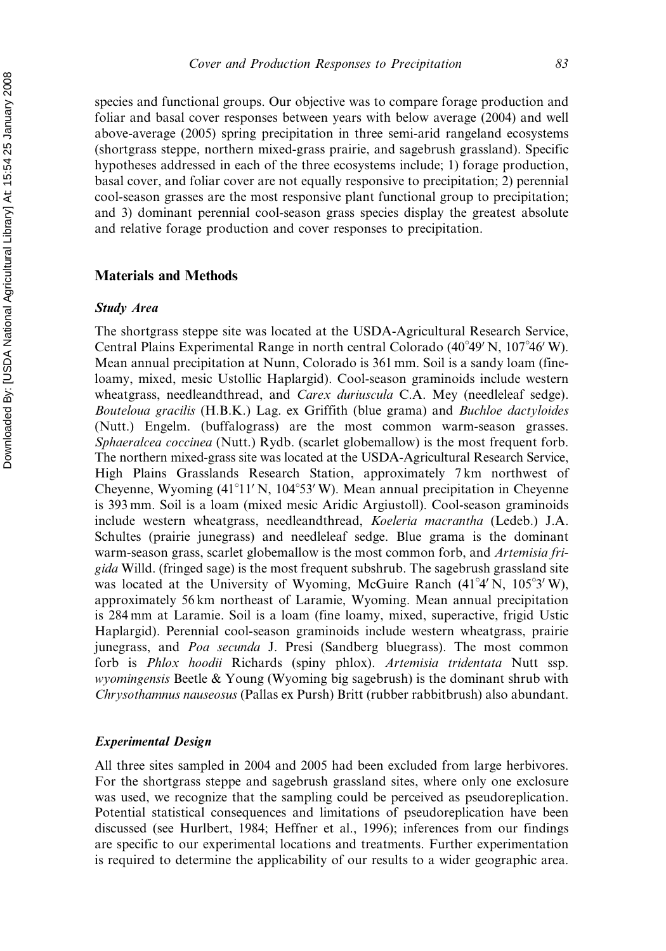species and functional groups. Our objective was to compare forage production and foliar and basal cover responses between years with below average (2004) and well above-average (2005) spring precipitation in three semi-arid rangeland ecosystems (shortgrass steppe, northern mixed-grass prairie, and sagebrush grassland). Specific hypotheses addressed in each of the three ecosystems include; 1) forage production, basal cover, and foliar cover are not equally responsive to precipitation; 2) perennial cool-season grasses are the most responsive plant functional group to precipitation; and 3) dominant perennial cool-season grass species display the greatest absolute and relative forage production and cover responses to precipitation.

#### Materials and Methods

#### Study Area

The shortgrass steppe site was located at the USDA-Agricultural Research Service, Central Plains Experimental Range in north central Colorado (40°49' N, 107°46' W). Mean annual precipitation at Nunn, Colorado is 361 mm. Soil is a sandy loam (fineloamy, mixed, mesic Ustollic Haplargid). Cool-season graminoids include western wheatgrass, needleandthread, and *Carex duriuscula* C.A. Mey (needleleaf sedge). Bouteloua gracilis (H.B.K.) Lag. ex Griffith (blue grama) and Buchloe dactyloides (Nutt.) Engelm. (buffalograss) are the most common warm-season grasses. Sphaeralcea coccinea (Nutt.) Rydb. (scarlet globemallow) is the most frequent forb. The northern mixed-grass site was located at the USDA-Agricultural Research Service, High Plains Grasslands Research Station, approximately 7 km northwest of Cheyenne, Wyoming (41<sup>°</sup>11' N, 104<sup>°</sup>53' W). Mean annual precipitation in Cheyenne is 393 mm. Soil is a loam (mixed mesic Aridic Argiustoll). Cool-season graminoids include western wheatgrass, needleandthread, Koeleria macrantha (Ledeb.) J.A. Schultes (prairie junegrass) and needleleaf sedge. Blue grama is the dominant warm-season grass, scarlet globemallow is the most common forb, and Artemisia frigida Willd. (fringed sage) is the most frequent subshrub. The sagebrush grassland site was located at the University of Wyoming, McGuire Ranch (41°4' N, 105°3' W), approximately 56 km northeast of Laramie, Wyoming. Mean annual precipitation is 284 mm at Laramie. Soil is a loam (fine loamy, mixed, superactive, frigid Ustic Haplargid). Perennial cool-season graminoids include western wheatgrass, prairie junegrass, and Poa secunda J. Presi (Sandberg bluegrass). The most common forb is Phlox hoodii Richards (spiny phlox). Artemisia tridentata Nutt ssp. wyomingensis Beetle & Young (Wyoming big sagebrush) is the dominant shrub with Chrysothamnus nauseosus (Pallas ex Pursh) Britt (rubber rabbitbrush) also abundant.

#### Experimental Design

All three sites sampled in 2004 and 2005 had been excluded from large herbivores. For the shortgrass steppe and sagebrush grassland sites, where only one exclosure was used, we recognize that the sampling could be perceived as pseudoreplication. Potential statistical consequences and limitations of pseudoreplication have been discussed (see Hurlbert, 1984; Heffner et al., 1996); inferences from our findings are specific to our experimental locations and treatments. Further experimentation is required to determine the applicability of our results to a wider geographic area.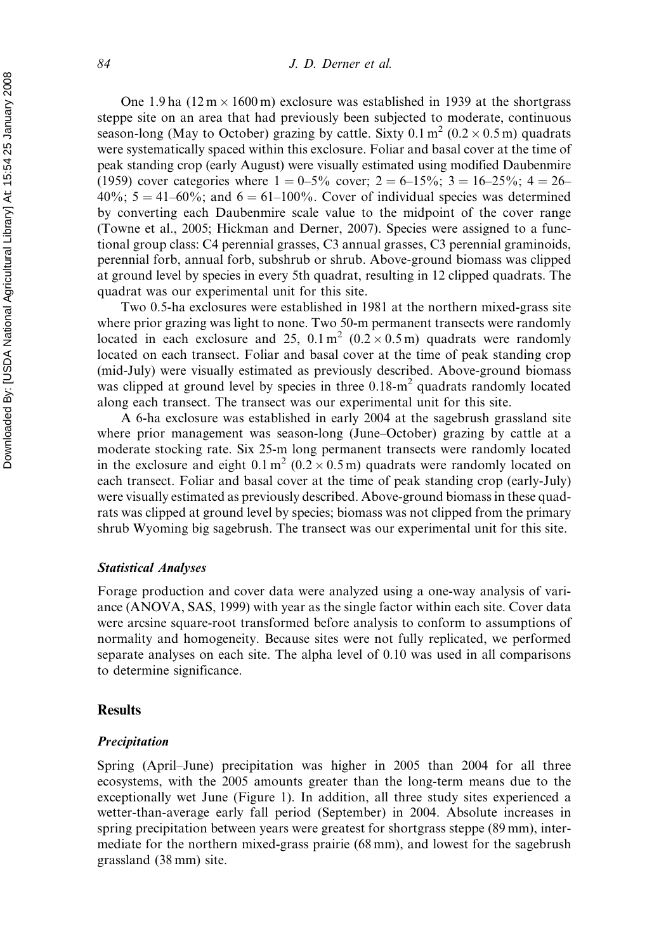One 1.9 ha  $(12 \text{ m} \times 1600 \text{ m})$  exclosure was established in 1939 at the shortgrass steppe site on an area that had previously been subjected to moderate, continuous season-long (May to October) grazing by cattle. Sixty  $0.1 \text{ m}^2$  ( $0.2 \times 0.5 \text{ m}$ ) quadrats were systematically spaced within this exclosure. Foliar and basal cover at the time of peak standing crop (early August) were visually estimated using modified Daubenmire (1959) cover categories where  $1 = 0.5\%$  cover;  $2 = 6-15\%$ ;  $3 = 16-25\%$ ;  $4 = 26-15\%$  $40\%$ ;  $5 = 41-60\%$ ; and  $6 = 61-100\%$ . Cover of individual species was determined by converting each Daubenmire scale value to the midpoint of the cover range (Towne et al., 2005; Hickman and Derner, 2007). Species were assigned to a functional group class: C4 perennial grasses, C3 annual grasses, C3 perennial graminoids, perennial forb, annual forb, subshrub or shrub. Above-ground biomass was clipped at ground level by species in every 5th quadrat, resulting in 12 clipped quadrats. The quadrat was our experimental unit for this site.

Two 0.5-ha exclosures were established in 1981 at the northern mixed-grass site where prior grazing was light to none. Two 50-m permanent transects were randomly located in each exclosure and 25,  $0.1 \text{ m}^2$  ( $0.2 \times 0.5 \text{ m}$ ) quadrats were randomly located on each transect. Foliar and basal cover at the time of peak standing crop (mid-July) were visually estimated as previously described. Above-ground biomass was clipped at ground level by species in three 0.18-m<sup>2</sup> quadrats randomly located along each transect. The transect was our experimental unit for this site.

A 6-ha exclosure was established in early 2004 at the sagebrush grassland site where prior management was season-long (June–October) grazing by cattle at a moderate stocking rate. Six 25-m long permanent transects were randomly located in the exclosure and eight  $0.1 \text{ m}^2 (0.2 \times 0.5 \text{ m})$  quadrats were randomly located on each transect. Foliar and basal cover at the time of peak standing crop (early-July) were visually estimated as previously described. Above-ground biomass in these quadrats was clipped at ground level by species; biomass was not clipped from the primary shrub Wyoming big sagebrush. The transect was our experimental unit for this site.

#### Statistical Analyses

Forage production and cover data were analyzed using a one-way analysis of variance (ANOVA, SAS, 1999) with year as the single factor within each site. Cover data were arcsine square-root transformed before analysis to conform to assumptions of normality and homogeneity. Because sites were not fully replicated, we performed separate analyses on each site. The alpha level of 0.10 was used in all comparisons to determine significance.

#### Results

#### Precipitation

Spring (April–June) precipitation was higher in 2005 than 2004 for all three ecosystems, with the 2005 amounts greater than the long-term means due to the exceptionally wet June (Figure 1). In addition, all three study sites experienced a wetter-than-average early fall period (September) in 2004. Absolute increases in spring precipitation between years were greatest for shortgrass steppe (89 mm), intermediate for the northern mixed-grass prairie (68 mm), and lowest for the sagebrush grassland (38 mm) site.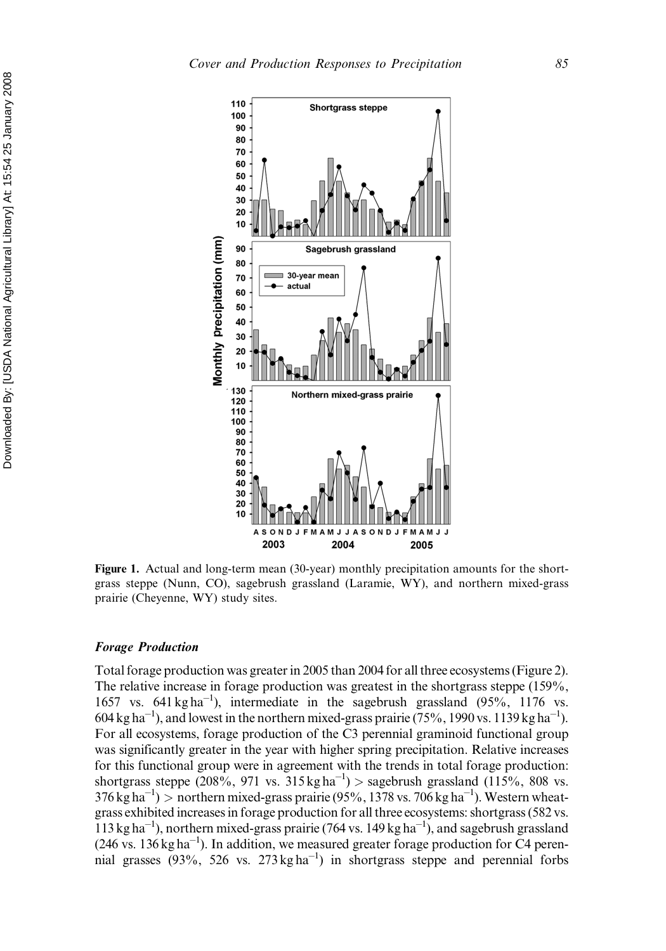

Figure 1. Actual and long-term mean (30-year) monthly precipitation amounts for the shortgrass steppe (Nunn, CO), sagebrush grassland (Laramie, WY), and northern mixed-grass prairie (Cheyenne, WY) study sites.

#### Forage Production

Total forage production was greater in 2005 than 2004 for all three ecosystems (Figure 2). The relative increase in forage production was greatest in the shortgrass steppe (159%, 1657 vs.  $641 \text{ kg ha}^{-1}$ ), intermediate in the sagebrush grassland  $(95\% , 1176 \text{ vs.})$  $604 \text{ kg ha}^{-1}$ ), and lowest in the northern mixed-grass prairie (75%, 1990 vs. 1139 kg ha<sup>-1</sup>). For all ecosystems, forage production of the C3 perennial graminoid functional group was significantly greater in the year with higher spring precipitation. Relative increases for this functional group were in agreement with the trends in total forage production: shortgrass steppe  $(208\%, 971 \text{ vs. } 315 \text{ kg ha}^{-1})$  > sagebrush grassland  $(115\%, 808 \text{ vs. } 315 \text{ kg ha}^{-1})$  $376 \text{ kg ha}^{-1}$ ) > northern mixed-grass prairie (95%, 1378 vs. 706 kg ha<sup>-1</sup>). Western wheatgrass exhibited increases in forage production for all three ecosystems: shortgrass (582 vs.  $113 \text{ kg ha}^{-1}$ ), northern mixed-grass prairie (764 vs. 149 kg ha<sup>-1</sup>), and sagebrush grassland  $(246 \text{ vs. } 136 \text{ kg ha}^{-1})$ . In addition, we measured greater forage production for C4 perennial grasses (93%, 526 vs. 273 kg ha<sup>-1</sup>) in shortgrass steppe and perennial forbs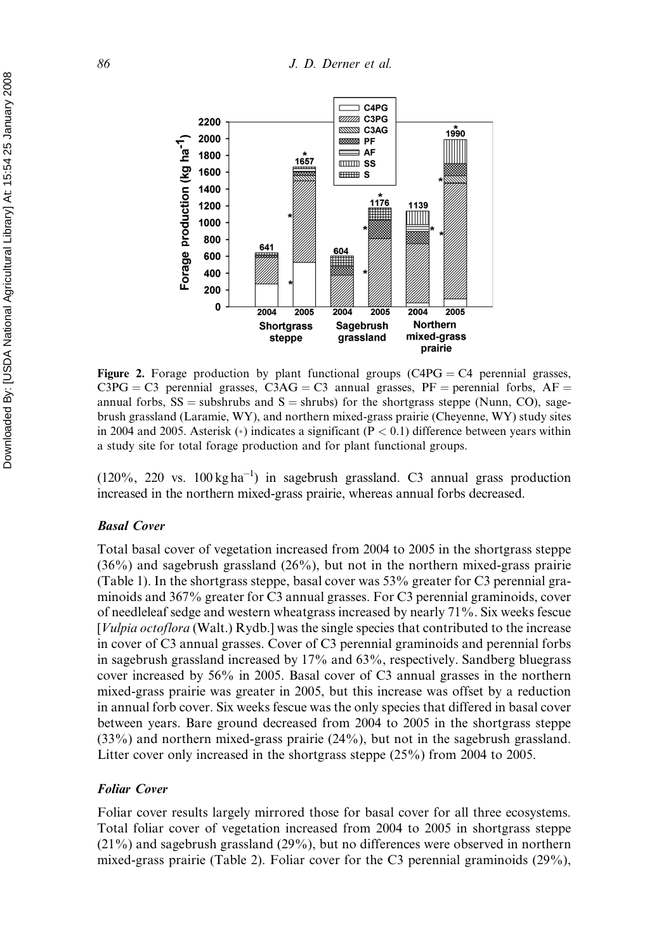

Figure 2. Forage production by plant functional groups  $(C4PG = C4$  perennial grasses,  $C3PG = C3$  perennial grasses,  $C3AG = C3$  annual grasses,  $PF =$  perennial forbs,  $AF =$ annual forbs,  $SS =$  subshrubs and  $S =$  shrubs) for the shortgrass steppe (Nunn, CO), sagebrush grassland (Laramie, WY), and northern mixed-grass prairie (Cheyenne, WY) study sites in 2004 and 2005. Asterisk (\*) indicates a significant ( $P < 0.1$ ) difference between years within a study site for total forage production and for plant functional groups.

 $(120\%, 220 \text{ vs. } 100 \text{ kg ha}^{-1})$  in sagebrush grassland. C3 annual grass production increased in the northern mixed-grass prairie, whereas annual forbs decreased.

#### Basal Cover

Total basal cover of vegetation increased from 2004 to 2005 in the shortgrass steppe  $(36\%)$  and sagebrush grassland  $(26\%)$ , but not in the northern mixed-grass prairie (Table 1). In the shortgrass steppe, basal cover was 53% greater for C3 perennial graminoids and 367% greater for C3 annual grasses. For C3 perennial graminoids, cover of needleleaf sedge and western wheatgrass increased by nearly 71%. Six weeks fescue [*Vulpia octoflora* (Walt.) Rydb.] was the single species that contributed to the increase in cover of C3 annual grasses. Cover of C3 perennial graminoids and perennial forbs in sagebrush grassland increased by 17% and 63%, respectively. Sandberg bluegrass cover increased by 56% in 2005. Basal cover of C3 annual grasses in the northern mixed-grass prairie was greater in 2005, but this increase was offset by a reduction in annual forb cover. Six weeks fescue was the only species that differed in basal cover between years. Bare ground decreased from 2004 to 2005 in the shortgrass steppe (33%) and northern mixed-grass prairie (24%), but not in the sagebrush grassland. Litter cover only increased in the shortgrass steppe (25%) from 2004 to 2005.

#### Foliar Cover

Foliar cover results largely mirrored those for basal cover for all three ecosystems. Total foliar cover of vegetation increased from 2004 to 2005 in shortgrass steppe (21%) and sagebrush grassland (29%), but no differences were observed in northern mixed-grass prairie (Table 2). Foliar cover for the C3 perennial graminoids (29%),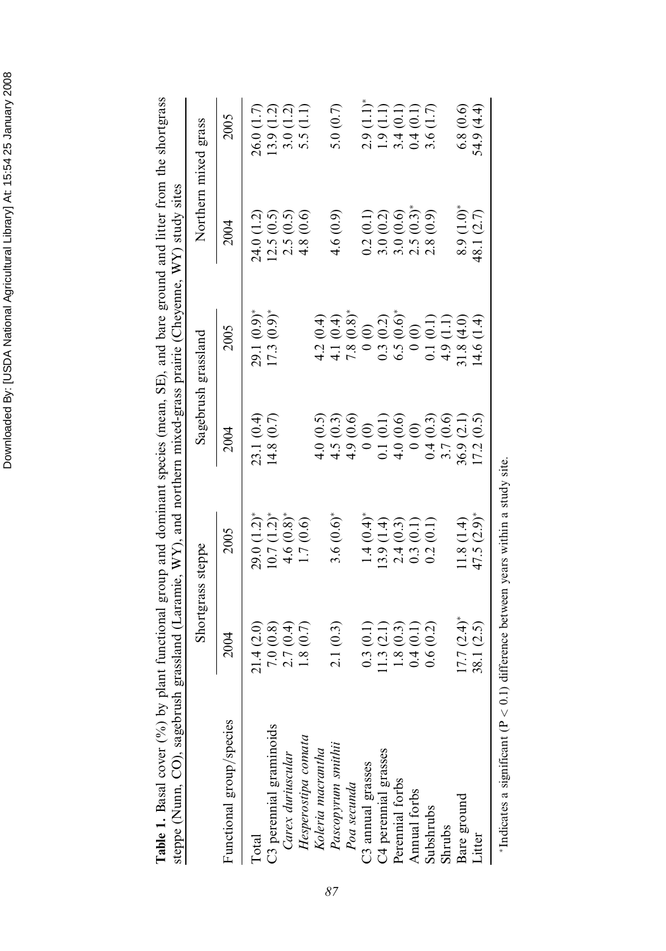| steppe (Nunn, CO), sagebrush      |                                                                                                  |                                                                     |                                                         | grassland (Laramie, WY), and northern mixed-grass prairie (Cheyenne, WY) study sites |                                                                       |                                                                  |
|-----------------------------------|--------------------------------------------------------------------------------------------------|---------------------------------------------------------------------|---------------------------------------------------------|--------------------------------------------------------------------------------------|-----------------------------------------------------------------------|------------------------------------------------------------------|
|                                   |                                                                                                  | Shortgrass steppe                                                   |                                                         | Sagebrush grassland                                                                  | Northern mixed grass                                                  |                                                                  |
| Functional group/species          | 2004                                                                                             | 2005                                                                | 2004                                                    | 2005                                                                                 | 2004                                                                  | 2005                                                             |
| Total                             |                                                                                                  |                                                                     | 23.1 (0.4)                                              | $29.1(0.9)^*$                                                                        | 24.0 (1.2)                                                            | 26.0(1.7)                                                        |
| C3 perennial graminoids           | $21.4$ (2.0)<br>$7.0$ (0.8)<br>$2.7$ (0.4)                                                       | $29.0$ $(1.2)^*$<br>10.7 $(1.2)^*$                                  | 14.8 $(0.7)$                                            | $17.3(0.9)$ *                                                                        | 12.5(0.5)                                                             | 13.9(1.2)                                                        |
| Carex duriuscular                 |                                                                                                  | $4.6 (0.8)$ *<br>1.7 $(0.6)$                                        |                                                         |                                                                                      | $2.5(0.5)$<br>4.8 $(0.6)$                                             | $3.0(1.2)$<br>$5.5(1.1)$                                         |
| Hesperostipa comata               | 1.8(0.7)                                                                                         |                                                                     |                                                         |                                                                                      |                                                                       |                                                                  |
| Koleria macrantha                 |                                                                                                  |                                                                     | 4.0(0.5)                                                | 4.2(0.4)                                                                             |                                                                       |                                                                  |
| Pascopyrum smithii<br>Poa secunda | 2.1(0.3)                                                                                         | $3.6(0.6)$ *                                                        | 4.5(0.3)                                                | 4.1 (0.4)                                                                            | 4.6(0.9)                                                              | 5.0 $(0.7)$                                                      |
|                                   |                                                                                                  |                                                                     |                                                         | $7.8(0.8)$ *                                                                         |                                                                       |                                                                  |
| C3 annual grasses                 |                                                                                                  | $1.4(0.4)$<br>$13.9(1.4)$<br>$2.4(0.3)$<br>$0.3(0.1)$<br>$0.2(0.1)$ | $4.9(0.6)$<br>0(0)                                      | 0(0)                                                                                 |                                                                       |                                                                  |
| C4 perennial grasses              |                                                                                                  |                                                                     |                                                         | 0.3(0.2)                                                                             | $\begin{array}{c} 0.2\ (0.1) \\ 3.0\ (0.2) \\ 3.0\ (0.6) \end{array}$ |                                                                  |
| Perennial forbs                   |                                                                                                  |                                                                     | $\begin{array}{c} 0.1\ (0.1) \\ 4.0\ (0.6) \end{array}$ | 6.5(0.6)                                                                             |                                                                       |                                                                  |
| Annual forbs                      | $\begin{array}{c} 0.3\ (0.1)\\ 1.1\ 3\ (2.1)\\ 1.8\ (0.3)\\ 0.4\ (0.1)\\ 0.6\ (0.2) \end{array}$ |                                                                     | $\widehat{\odot}$                                       | $\odot$<br>$\sum_{i=1}^{n}$                                                          | $2.5(0.3)^{*}$<br>2.8 (0.9)                                           |                                                                  |
| Subshrubs                         |                                                                                                  | (0.1)                                                               | 0.4(0.3)                                                | 0.1(0.1)                                                                             |                                                                       | $2.9$ (1.1)*<br>1.9 (1.1)<br>1.9 (0.1)<br>3.4 (0.1)<br>0.4 (1.7) |
| Shrubs                            |                                                                                                  |                                                                     | 3.7(0.6)                                                | 4.9(1.1)                                                                             |                                                                       |                                                                  |
| Bare ground                       | 17.7 (2.4)                                                                                       | 11.8(1.4)                                                           | 36.9(2.1)                                               | $\frac{1}{2}$<br>31.8                                                                | $8.9(1.0)$ *<br>48.1 $(2.7)$                                          | 6.8(0.6)                                                         |
| Litter                            | 38.1 (2.5)                                                                                       | $47.5 (2.9)^*$                                                      | 17.2(0.5)                                               | 14.6                                                                                 |                                                                       | 54.9 (4.4)                                                       |
|                                   |                                                                                                  |                                                                     |                                                         |                                                                                      |                                                                       |                                                                  |

Indicates a significant ( $P < 0.1$ ) difference between years within a study site.

\*Indicates a significant (P < 0.1) difference between years within a study site.

Table 1. Basal cover (%) by plant functional group and dominant species (mean, SE), and bare ground and litter from the shortgrass Table 1. Basal cover (%) by plant functional group and dominant species (mean, SE), and bare ground and litter from the shortgrass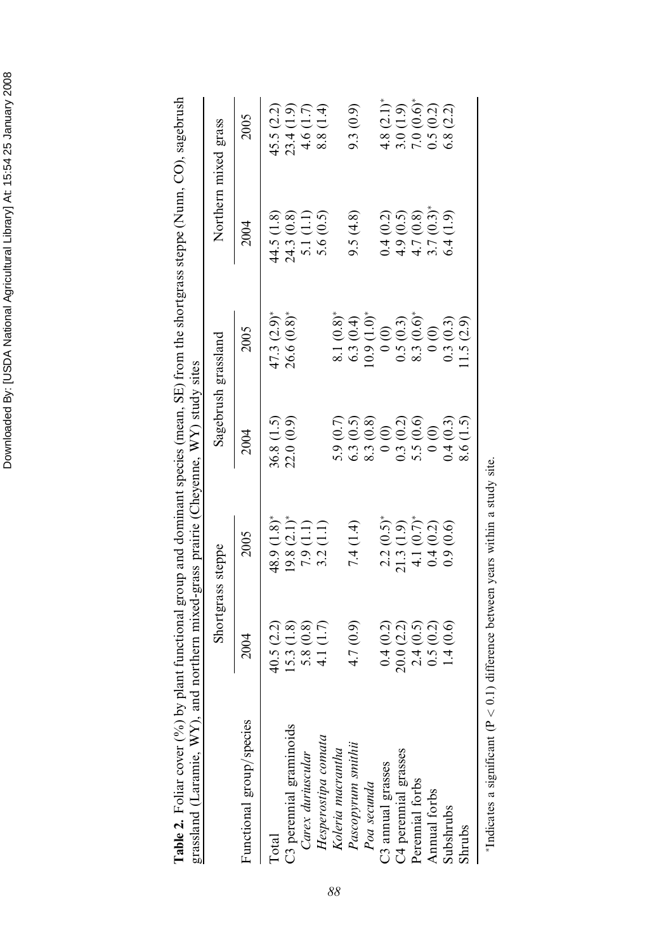| grassland (Laramie, WY), and |                                                     | northern mixed-grass prairie (Cheyenne, WY) study sites                                           |                                                                   |                                                                                                                                                        |                                                                                                                                           |                                                                       |
|------------------------------|-----------------------------------------------------|---------------------------------------------------------------------------------------------------|-------------------------------------------------------------------|--------------------------------------------------------------------------------------------------------------------------------------------------------|-------------------------------------------------------------------------------------------------------------------------------------------|-----------------------------------------------------------------------|
|                              |                                                     | Shortgrass steppe                                                                                 |                                                                   | Sagebrush grassland                                                                                                                                    |                                                                                                                                           | Northern mixed grass                                                  |
| Functional group/species     |                                                     | 2005                                                                                              | 2004                                                              | 2005                                                                                                                                                   | 2004                                                                                                                                      | 2005                                                                  |
| <b>Total</b>                 |                                                     | 48.9(1.8)                                                                                         |                                                                   |                                                                                                                                                        |                                                                                                                                           |                                                                       |
| C3 perennial graminoids      | $40.5(2.2)$<br>15.3 $(1.8)$                         | $\begin{array}{c} 19.8 \ (2.1)^* \\ 7.9 \ (1.1) \\ 3.2 \ (1.1) \end{array}$                       | $36.8(1.5)$<br>$22.0(0.9)$                                        | $47.3 (2.9)^*$<br>26.6 $(0.8)^*$                                                                                                                       | $44.5(1.8)$<br>$24.3(0.8)$<br>$5.1(1.1)$<br>$5.6(0.5)$                                                                                    | 45.5 (2.2)<br>23.4 (1.9)<br>4.6 (1.7)                                 |
| Carex duriuscular            | 5.8(0.8)                                            |                                                                                                   |                                                                   |                                                                                                                                                        |                                                                                                                                           |                                                                       |
| Hesperostipa comata          | (1.7)<br>$\frac{1}{4}$                              |                                                                                                   |                                                                   |                                                                                                                                                        |                                                                                                                                           | 8.8 (1.4)                                                             |
| Koleria macrantha            |                                                     |                                                                                                   |                                                                   |                                                                                                                                                        |                                                                                                                                           |                                                                       |
| Pascopyrum smithii           | 4.7(0.9)                                            | 7.4(1.4)                                                                                          | $5.9(0.7)$<br>$6.3(0.5)$<br>$8.3(0.8)$                            |                                                                                                                                                        | 9.5(4.8)                                                                                                                                  | 9.3(0.9)                                                              |
| Poa secunda                  |                                                     |                                                                                                   |                                                                   |                                                                                                                                                        |                                                                                                                                           |                                                                       |
| C3 annual grasses            |                                                     |                                                                                                   | $\begin{pmatrix} 0 & 0 \\ 0 & 0 \end{pmatrix}$                    |                                                                                                                                                        |                                                                                                                                           |                                                                       |
| C4 perennial grasses         |                                                     |                                                                                                   |                                                                   |                                                                                                                                                        |                                                                                                                                           |                                                                       |
| Perennial forbs              | $0.4$ (0.2)<br>20.0 (2.2)<br>2.4 (0.5)<br>0.5 (0.2) | $\begin{array}{c} 2.2~(0.5)^* \\ 21.3~(1.9) \\ 4.1~(0.7)^* \\ 0.4~(0.2) \\ 0.9~(0.6) \end{array}$ | $\begin{array}{c} 0.3\ (0.2) \\ 5.5\ (0.6) \\ 0\ (0) \end{array}$ | $\begin{array}{l} 8.1 \; (0.8)^* \\ 6.3 \; (0.4) \\ 10.9 \; (1.0)^* \\ 0.5 \; (0.3) \\ 0.5 \; (0.6)^* \\ 0.5 \; (0.6)^* \\ 8.3 \; (0.6)^* \end{array}$ | $(0.5)$<br>$(0.8)$<br>$(0.3)^*$<br>$\begin{array}{l} 0.4 \ (0.2) \\ 4.9 \ (0.3) \\ 4.7 \ (0.8) \\ 3.7 \ (0.3) \\ 6.4 \ (1.9) \end{array}$ | $4.8$ (2.1)*<br>$3.0$ (1.9)<br>$7.0$ (0.6)*<br>0.5 (0.2)<br>6.8 (2.2) |
| Annual forbs                 |                                                     |                                                                                                   |                                                                   |                                                                                                                                                        |                                                                                                                                           |                                                                       |
| Subshrubs                    | $\odot$<br>$\overline{14}$                          |                                                                                                   | 0.4(0.3)                                                          |                                                                                                                                                        | (1.9)                                                                                                                                     |                                                                       |
| Shrubs                       |                                                     |                                                                                                   | (1.5)<br>8.6                                                      | $0.3(0.3)$<br>11.5 (2.9)                                                                                                                               |                                                                                                                                           |                                                                       |

Table 2. Foliar cover (%) by plant functional group and dominant species (mean, SE) from the shortgrass steppe (Nunn, CO), sagebrush Table 2. Foliar cover (%) by plant functional group and dominant species (mean, SE) from the shortgrass steppe (Nunn, CO), sagebrush

\*Indicates a significant (P < 0.1) difference between years within a study site. Indicates a significant ( $P < 0.1$ ) difference between years within a study site.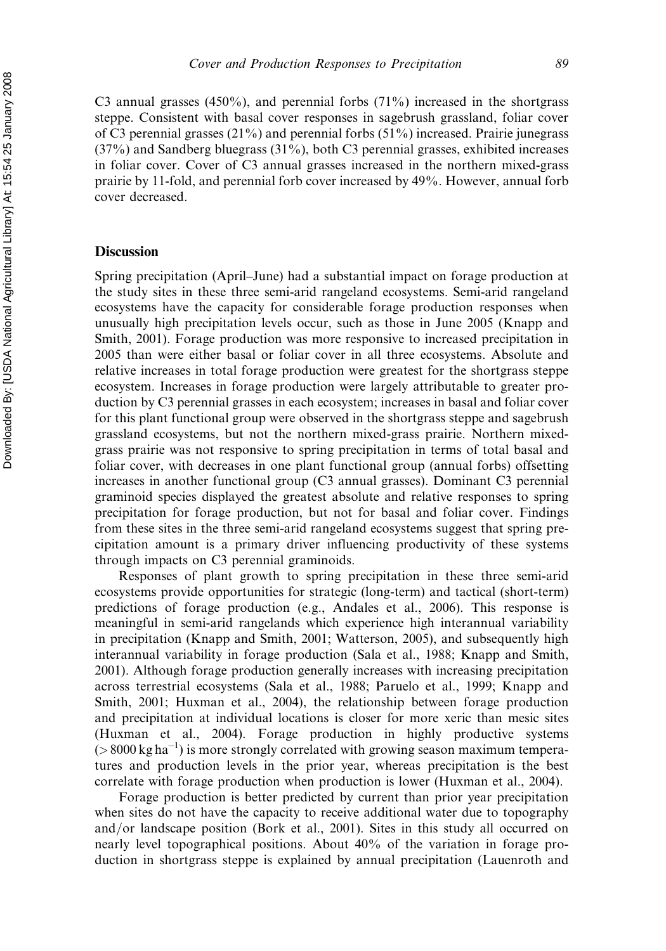C3 annual grasses  $(450\%)$ , and perennial forbs  $(71\%)$  increased in the shortgrass steppe. Consistent with basal cover responses in sagebrush grassland, foliar cover of C3 perennial grasses  $(21\%)$  and perennial forbs  $(51\%)$  increased. Prairie junegrass  $(37\%)$  and Sandberg bluegrass  $(31\%)$ , both C3 perennial grasses, exhibited increases in foliar cover. Cover of C3 annual grasses increased in the northern mixed-grass prairie by 11-fold, and perennial forb cover increased by 49%. However, annual forb cover decreased.

#### **Discussion**

Spring precipitation (April–June) had a substantial impact on forage production at the study sites in these three semi-arid rangeland ecosystems. Semi-arid rangeland ecosystems have the capacity for considerable forage production responses when unusually high precipitation levels occur, such as those in June 2005 (Knapp and Smith, 2001). Forage production was more responsive to increased precipitation in 2005 than were either basal or foliar cover in all three ecosystems. Absolute and relative increases in total forage production were greatest for the shortgrass steppe ecosystem. Increases in forage production were largely attributable to greater production by C3 perennial grasses in each ecosystem; increases in basal and foliar cover for this plant functional group were observed in the shortgrass steppe and sagebrush grassland ecosystems, but not the northern mixed-grass prairie. Northern mixedgrass prairie was not responsive to spring precipitation in terms of total basal and foliar cover, with decreases in one plant functional group (annual forbs) offsetting increases in another functional group (C3 annual grasses). Dominant C3 perennial graminoid species displayed the greatest absolute and relative responses to spring precipitation for forage production, but not for basal and foliar cover. Findings from these sites in the three semi-arid rangeland ecosystems suggest that spring precipitation amount is a primary driver influencing productivity of these systems through impacts on C3 perennial graminoids.

Responses of plant growth to spring precipitation in these three semi-arid ecosystems provide opportunities for strategic (long-term) and tactical (short-term) predictions of forage production (e.g., Andales et al., 2006). This response is meaningful in semi-arid rangelands which experience high interannual variability in precipitation (Knapp and Smith, 2001; Watterson, 2005), and subsequently high interannual variability in forage production (Sala et al., 1988; Knapp and Smith, 2001). Although forage production generally increases with increasing precipitation across terrestrial ecosystems (Sala et al., 1988; Paruelo et al., 1999; Knapp and Smith, 2001; Huxman et al., 2004), the relationship between forage production and precipitation at individual locations is closer for more xeric than mesic sites (Huxman et al., 2004). Forage production in highly productive systems  $(> 8000 \text{ kg ha}^{-1})$  is more strongly correlated with growing season maximum temperatures and production levels in the prior year, whereas precipitation is the best correlate with forage production when production is lower (Huxman et al., 2004).

Forage production is better predicted by current than prior year precipitation when sites do not have the capacity to receive additional water due to topography and/or landscape position (Bork et al., 2001). Sites in this study all occurred on nearly level topographical positions. About 40% of the variation in forage production in shortgrass steppe is explained by annual precipitation (Lauenroth and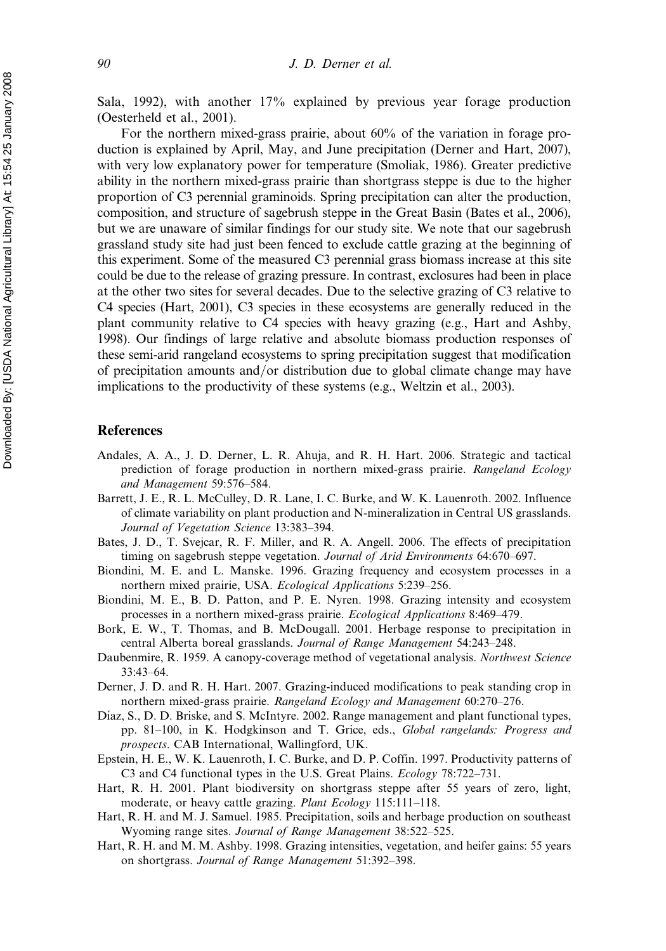Sala, 1992), with another 17% explained by previous year forage production (Oesterheld et al., 2001).

For the northern mixed-grass prairie, about 60% of the variation in forage production is explained by April, May, and June precipitation (Derner and Hart, 2007), with very low explanatory power for temperature (Smoliak, 1986). Greater predictive ability in the northern mixed-grass prairie than shortgrass steppe is due to the higher proportion of C3 perennial graminoids. Spring precipitation can alter the production, composition, and structure of sagebrush steppe in the Great Basin (Bates et al., 2006), but we are unaware of similar findings for our study site. We note that our sagebrush grassland study site had just been fenced to exclude cattle grazing at the beginning of this experiment. Some of the measured C3 perennial grass biomass increase at this site could be due to the release of grazing pressure. In contrast, exclosures had been in place at the other two sites for several decades. Due to the selective grazing of C3 relative to C4 species (Hart, 2001), C3 species in these ecosystems are generally reduced in the plant community relative to C4 species with heavy grazing (e.g., Hart and Ashby, 1998). Our findings of large relative and absolute biomass production responses of these semi-arid rangeland ecosystems to spring precipitation suggest that modification of precipitation amounts and/or distribution due to global climate change may have implications to the productivity of these systems (e.g., Weltzin et al., 2003).

#### References

- Andales, A. A., J. D. Derner, L. R. Ahuja, and R. H. Hart. 2006. Strategic and tactical prediction of forage production in northern mixed-grass prairie. Rangeland Ecology and Management 59:576–584.
- Barrett, J. E., R. L. McCulley, D. R. Lane, I. C. Burke, and W. K. Lauenroth. 2002. Influence of climate variability on plant production and N-mineralization in Central US grasslands. Journal of Vegetation Science 13:383–394.
- Bates, J. D., T. Svejcar, R. F. Miller, and R. A. Angell. 2006. The effects of precipitation timing on sagebrush steppe vegetation. Journal of Arid Environments 64:670–697.
- Biondini, M. E. and L. Manske. 1996. Grazing frequency and ecosystem processes in a northern mixed prairie, USA. Ecological Applications 5:239–256.
- Biondini, M. E., B. D. Patton, and P. E. Nyren. 1998. Grazing intensity and ecosystem processes in a northern mixed-grass prairie. Ecological Applications 8:469–479.
- Bork, E. W., T. Thomas, and B. McDougall. 2001. Herbage response to precipitation in central Alberta boreal grasslands. Journal of Range Management 54:243–248.
- Daubenmire, R. 1959. A canopy-coverage method of vegetational analysis. Northwest Science 33:43–64.
- Derner, J. D. and R. H. Hart. 2007. Grazing-induced modifications to peak standing crop in northern mixed-grass prairie. Rangeland Ecology and Management 60:270–276.
- Díaz, S., D. D. Briske, and S. McIntyre. 2002. Range management and plant functional types, pp. 81–100, in K. Hodgkinson and T. Grice, eds., Global rangelands: Progress and prospects. CAB International, Wallingford, UK.
- Epstein, H. E., W. K. Lauenroth, I. C. Burke, and D. P. Coffin. 1997. Productivity patterns of C3 and C4 functional types in the U.S. Great Plains. Ecology 78:722–731.
- Hart, R. H. 2001. Plant biodiversity on shortgrass steppe after 55 years of zero, light, moderate, or heavy cattle grazing. Plant Ecology 115:111-118.
- Hart, R. H. and M. J. Samuel. 1985. Precipitation, soils and herbage production on southeast Wyoming range sites. Journal of Range Management 38:522–525.
- Hart, R. H. and M. M. Ashby. 1998. Grazing intensities, vegetation, and heifer gains: 55 years on shortgrass. Journal of Range Management 51:392–398.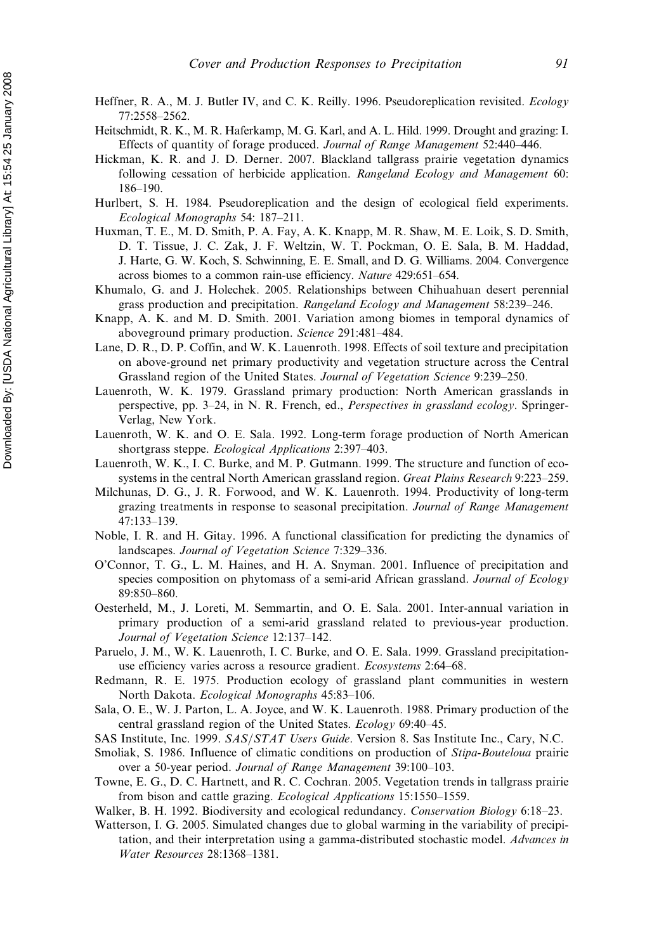- Heffner, R. A., M. J. Butler IV, and C. K. Reilly. 1996. Pseudoreplication revisited. Ecology 77:2558–2562.
- Heitschmidt, R. K., M. R. Haferkamp, M. G. Karl, and A. L. Hild. 1999. Drought and grazing: I. Effects of quantity of forage produced. Journal of Range Management 52:440–446.
- Hickman, K. R. and J. D. Derner. 2007. Blackland tallgrass prairie vegetation dynamics following cessation of herbicide application. Rangeland Ecology and Management 60: 186–190.
- Hurlbert, S. H. 1984. Pseudoreplication and the design of ecological field experiments. Ecological Monographs 54: 187–211.
- Huxman, T. E., M. D. Smith, P. A. Fay, A. K. Knapp, M. R. Shaw, M. E. Loik, S. D. Smith, D. T. Tissue, J. C. Zak, J. F. Weltzin, W. T. Pockman, O. E. Sala, B. M. Haddad, J. Harte, G. W. Koch, S. Schwinning, E. E. Small, and D. G. Williams. 2004. Convergence across biomes to a common rain-use efficiency. Nature 429:651–654.
- Khumalo, G. and J. Holechek. 2005. Relationships between Chihuahuan desert perennial grass production and precipitation. Rangeland Ecology and Management 58:239–246.
- Knapp, A. K. and M. D. Smith. 2001. Variation among biomes in temporal dynamics of aboveground primary production. Science 291:481–484.
- Lane, D. R., D. P. Coffin, and W. K. Lauenroth. 1998. Effects of soil texture and precipitation on above-ground net primary productivity and vegetation structure across the Central Grassland region of the United States. Journal of Vegetation Science 9:239–250.
- Lauenroth, W. K. 1979. Grassland primary production: North American grasslands in perspective, pp. 3–24, in N. R. French, ed., Perspectives in grassland ecology. Springer-Verlag, New York.
- Lauenroth, W. K. and O. E. Sala. 1992. Long-term forage production of North American shortgrass steppe. Ecological Applications 2:397–403.
- Lauenroth, W. K., I. C. Burke, and M. P. Gutmann. 1999. The structure and function of ecosystems in the central North American grassland region. Great Plains Research 9:223–259.
- Milchunas, D. G., J. R. Forwood, and W. K. Lauenroth. 1994. Productivity of long-term grazing treatments in response to seasonal precipitation. Journal of Range Management 47:133–139.
- Noble, I. R. and H. Gitay. 1996. A functional classification for predicting the dynamics of landscapes. Journal of Vegetation Science 7:329–336.
- O'Connor, T. G., L. M. Haines, and H. A. Snyman. 2001. Influence of precipitation and species composition on phytomass of a semi-arid African grassland. Journal of Ecology 89:850–860.
- Oesterheld, M., J. Loreti, M. Semmartin, and O. E. Sala. 2001. Inter-annual variation in primary production of a semi-arid grassland related to previous-year production. Journal of Vegetation Science 12:137–142.
- Paruelo, J. M., W. K. Lauenroth, I. C. Burke, and O. E. Sala. 1999. Grassland precipitationuse efficiency varies across a resource gradient. Ecosystems 2:64–68.
- Redmann, R. E. 1975. Production ecology of grassland plant communities in western North Dakota. Ecological Monographs 45:83–106.
- Sala, O. E., W. J. Parton, L. A. Joyce, and W. K. Lauenroth. 1988. Primary production of the central grassland region of the United States. Ecology 69:40–45.
- SAS Institute, Inc. 1999. SAS/STAT Users Guide. Version 8. Sas Institute Inc., Cary, N.C.
- Smoliak, S. 1986. Influence of climatic conditions on production of Stipa-Bouteloua prairie over a 50-year period. Journal of Range Management 39:100–103.
- Towne, E. G., D. C. Hartnett, and R. C. Cochran. 2005. Vegetation trends in tallgrass prairie from bison and cattle grazing. Ecological Applications 15:1550–1559.
- Walker, B. H. 1992. Biodiversity and ecological redundancy. *Conservation Biology* 6:18–23.
- Watterson, I. G. 2005. Simulated changes due to global warming in the variability of precipitation, and their interpretation using a gamma-distributed stochastic model. Advances in Water Resources 28:1368–1381.